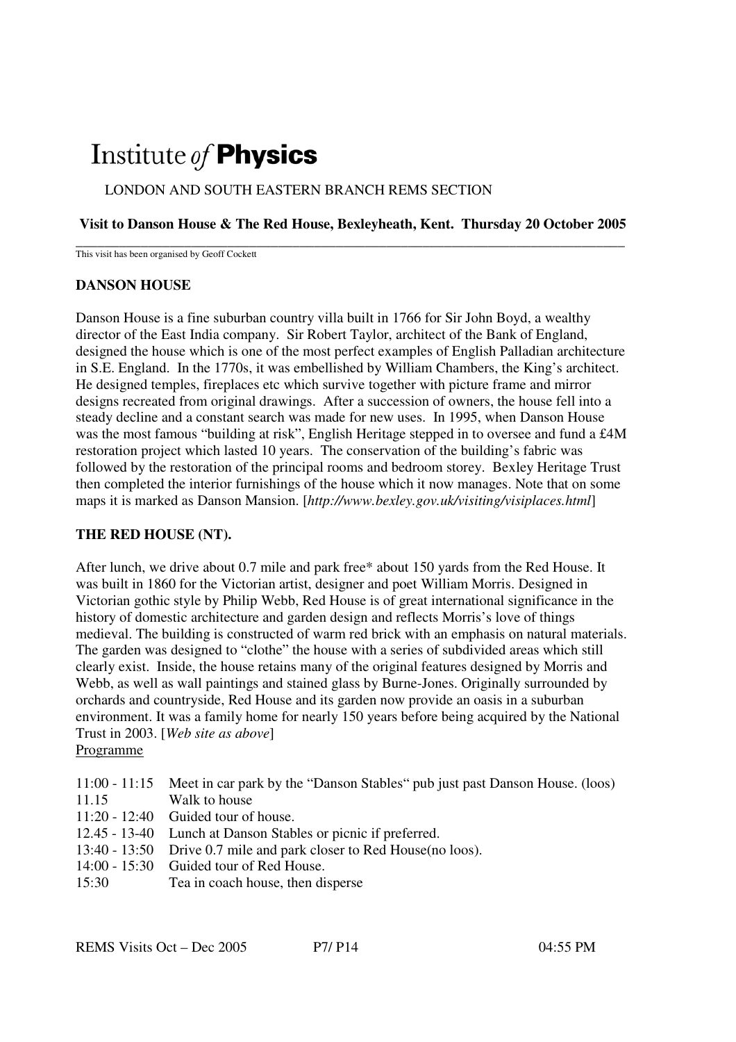# Institute of **Physics**

# LONDON AND SOUTH EASTERN BRANCH REMS SECTION

## **Visit to Danson House & The Red House, Bexleyheath, Kent. Thursday 20 October 2005**

**\_\_\_\_\_\_\_\_\_\_\_\_\_\_\_\_\_\_\_\_\_\_\_\_\_\_\_\_\_\_\_\_\_\_\_\_\_\_\_\_\_\_\_\_\_\_\_\_\_\_\_\_\_\_\_\_\_\_\_\_\_\_\_\_\_\_\_\_\_\_\_\_\_\_\_\_**  This visit has been organised by Geoff Cockett

#### **DANSON HOUSE**

Danson House is a fine suburban country villa built in 1766 for Sir John Boyd, a wealthy director of the East India company. Sir Robert Taylor, architect of the Bank of England, designed the house which is one of the most perfect examples of English Palladian architecture in S.E. England. In the 1770s, it was embellished by William Chambers, the King's architect. He designed temples, fireplaces etc which survive together with picture frame and mirror designs recreated from original drawings. After a succession of owners, the house fell into a steady decline and a constant search was made for new uses. In 1995, when Danson House was the most famous "building at risk", English Heritage stepped in to oversee and fund a £4M restoration project which lasted 10 years. The conservation of the building's fabric was followed by the restoration of the principal rooms and bedroom storey. Bexley Heritage Trust then completed the interior furnishings of the house which it now manages. Note that on some maps it is marked as Danson Mansion. [*http://www.bexley.gov.uk/visiting/visiplaces.html*]

## **THE RED HOUSE (NT).**

After lunch, we drive about 0.7 mile and park free\* about 150 yards from the Red House. It was built in 1860 for the Victorian artist, designer and poet William Morris. Designed in Victorian gothic style by Philip Webb, Red House is of great international significance in the history of domestic architecture and garden design and reflects Morris's love of things medieval. The building is constructed of warm red brick with an emphasis on natural materials. The garden was designed to "clothe" the house with a series of subdivided areas which still clearly exist. Inside, the house retains many of the original features designed by Morris and Webb, as well as wall paintings and stained glass by Burne-Jones. Originally surrounded by orchards and countryside, Red House and its garden now provide an oasis in a suburban environment. It was a family home for nearly 150 years before being acquired by the National Trust in 2003. [*Web site as above*]

#### Programme

| 11:00 - 11:15 Meet in car park by the "Danson Stables" pub just past Danson House. (loos)<br>Walk to house |
|------------------------------------------------------------------------------------------------------------|
| $11:20 - 12:40$ Guided tour of house.                                                                      |
| 12.45 - 13-40 Lunch at Danson Stables or picnic if preferred.                                              |
| 13:40 - 13:50 Drive 0.7 mile and park closer to Red House (no loos).                                       |
| 14:00 - 15:30 Guided tour of Red House.                                                                    |
| Tea in coach house, then disperse                                                                          |
|                                                                                                            |
|                                                                                                            |